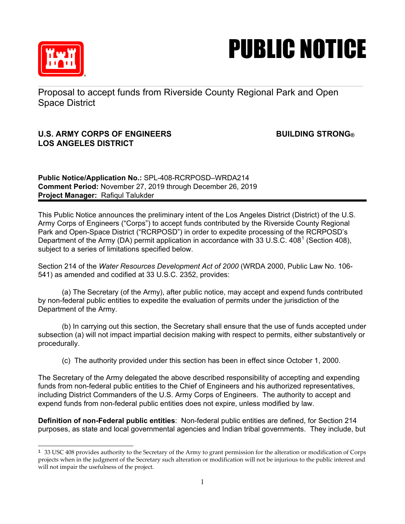

## PUBLIC NOTICE

Proposal to accept funds from Riverside County Regional Park and Open Space District

## **U.S. ARMY CORPS OF ENGINEERS BUILDING STRONG® LOS ANGELES DISTRICT**

**Public Notice/Application No.:** SPL-408-RCRPOSD–WRDA214 **Comment Period:** November 27, 2019 through December 26, 2019 **Project Manager:** Rafiqul Talukder

This Public Notice announces the preliminary intent of the Los Angeles District (District) of the U.S. Army Corps of Engineers ("Corps") to accept funds contributed by the Riverside County Regional Park and Open-Space District ("RCRPOSD") in order to expedite processing of the RCRPOSD's Department of the Army (DA) permit application in accordance with 33 U.S.C.  $408<sup>1</sup>$  $408<sup>1</sup>$  $408<sup>1</sup>$  (Section 408), subject to a series of limitations specified below.

Section 214 of the *Water Resources Development Act of 2000* (WRDA 2000, Public Law No. 106- 541) as amended and codified at 33 U.S.C. 2352, provides:

(a) The Secretary (of the Army), after public notice, may accept and expend funds contributed by non-federal public entities to expedite the evaluation of permits under the jurisdiction of the Department of the Army.

(b) In carrying out this section, the Secretary shall ensure that the use of funds accepted under subsection (a) will not impact impartial decision making with respect to permits, either substantively or procedurally.

(c) The authority provided under this section has been in effect since October 1, 2000.

The Secretary of the Army delegated the above described responsibility of accepting and expending funds from non-federal public entities to the Chief of Engineers and his authorized representatives, including District Commanders of the U.S. Army Corps of Engineers. The authority to accept and expend funds from non-federal public entities does not expire, unless modified by law.

**Definition of non-Federal public entities**: Non-federal public entities are defined, for Section 214 purposes, as state and local governmental agencies and Indian tribal governments. They include, but

<span id="page-0-0"></span>t  $1$  33 USC 408 provides authority to the Secretary of the Army to grant permission for the alteration or modification of Corps projects when in the judgment of the Secretary such alteration or modification will not be injurious to the public interest and will not impair the usefulness of the project.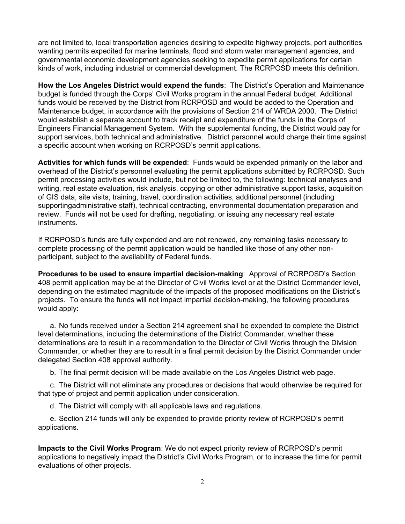are not limited to, local transportation agencies desiring to expedite highway projects, port authorities wanting permits expedited for marine terminals, flood and storm water management agencies, and governmental economic development agencies seeking to expedite permit applications for certain kinds of work, including industrial or commercial development. The RCRPOSD meets this definition.

**How the Los Angeles District would expend the funds**: The District's Operation and Maintenance budget is funded through the Corps' Civil Works program in the annual Federal budget. Additional funds would be received by the District from RCRPOSD and would be added to the Operation and Maintenance budget, in accordance with the provisions of Section 214 of WRDA 2000. The District would establish a separate account to track receipt and expenditure of the funds in the Corps of Engineers Financial Management System. With the supplemental funding, the District would pay for support services, both technical and administrative. District personnel would charge their time against a specific account when working on RCRPOSD's permit applications.

**Activities for which funds will be expended**: Funds would be expended primarily on the labor and overhead of the District's personnel evaluating the permit applications submitted by RCRPOSD. Such permit processing activities would include, but not be limited to, the following: technical analyses and writing, real estate evaluation, risk analysis, copying or other administrative support tasks, acquisition of GIS data, site visits, training, travel, coordination activities, additional personnel (including supportingadministrative staff), technical contracting, environmental documentation preparation and review. Funds will not be used for drafting, negotiating, or issuing any necessary real estate instruments.

If RCRPOSD's funds are fully expended and are not renewed, any remaining tasks necessary to complete processing of the permit application would be handled like those of any other nonparticipant, subject to the availability of Federal funds.

**Procedures to be used to ensure impartial decision-making**: Approval of RCRPOSD's Section 408 permit application may be at the Director of Civil Works level or at the District Commander level, depending on the estimated magnitude of the impacts of the proposed modifications on the District's projects. To ensure the funds will not impact impartial decision-making, the following procedures would apply:

a. No funds received under a Section 214 agreement shall be expended to complete the District level determinations, including the determinations of the District Commander, whether these determinations are to result in a recommendation to the Director of Civil Works through the Division Commander, or whether they are to result in a final permit decision by the District Commander under delegated Section 408 approval authority.

b. The final permit decision will be made available on the Los Angeles District web page.

c. The District will not eliminate any procedures or decisions that would otherwise be required for that type of project and permit application under consideration.

d. The District will comply with all applicable laws and regulations.

e. Section 214 funds will only be expended to provide priority review of RCRPOSD's permit applications.

**Impacts to the Civil Works Program**: We do not expect priority review of RCRPOSD's permit applications to negatively impact the District's Civil Works Program, or to increase the time for permit evaluations of other projects.